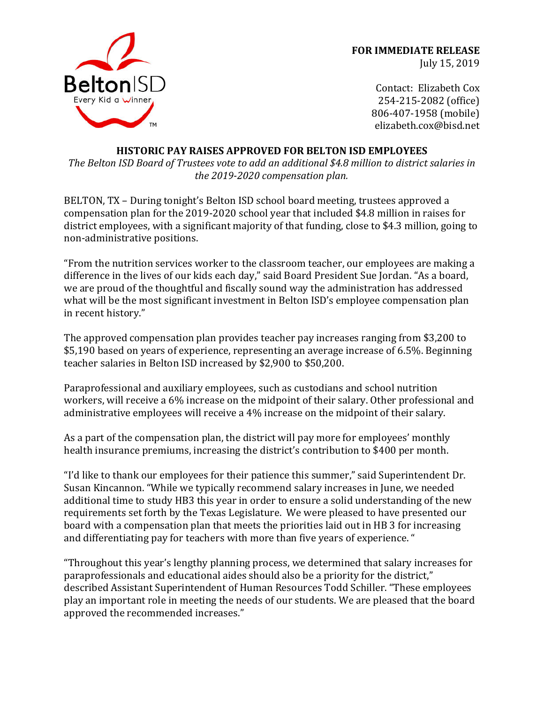

**FOR IMMEDIATE RELEASE** July 15, 2019

> Contact: Elizabeth Cox 254-215-2082 (office) 806-407-1958 (mobile) elizabeth.cox@bisd.net

## **HISTORIC PAY RAISES APPROVED FOR BELTON ISD EMPLOYEES**

The Belton ISD Board of Trustees vote to add an additional \$4.8 million to district salaries in *the 2019-2020 compensation plan.*

BELTON, TX - During tonight's Belton ISD school board meeting, trustees approved a compensation plan for the 2019-2020 school year that included \$4.8 million in raises for district employees, with a significant majority of that funding, close to \$4.3 million, going to non-administrative positions.

"From the nutrition services worker to the classroom teacher, our employees are making a difference in the lives of our kids each day," said Board President Sue Jordan. "As a board, we are proud of the thoughtful and fiscally sound way the administration has addressed what will be the most significant investment in Belton ISD's employee compensation plan in recent history."

The approved compensation plan provides teacher pay increases ranging from \$3,200 to \$5,190 based on years of experience, representing an average increase of 6.5%. Beginning teacher salaries in Belton ISD increased by \$2,900 to \$50,200.

Paraprofessional and auxiliary employees, such as custodians and school nutrition workers, will receive a 6% increase on the midpoint of their salary. Other professional and administrative employees will receive a 4% increase on the midpoint of their salary.

As a part of the compensation plan, the district will pay more for employees' monthly health insurance premiums, increasing the district's contribution to \$400 per month.

"I'd like to thank our employees for their patience this summer," said Superintendent Dr. Susan Kincannon. "While we typically recommend salary increases in June, we needed additional time to study HB3 this year in order to ensure a solid understanding of the new requirements set forth by the Texas Legislature. We were pleased to have presented our board with a compensation plan that meets the priorities laid out in HB 3 for increasing and differentiating pay for teachers with more than five years of experience. "

"Throughout this year's lengthy planning process, we determined that salary increases for paraprofessionals and educational aides should also be a priority for the district," described Assistant Superintendent of Human Resources Todd Schiller. "These employees play an important role in meeting the needs of our students. We are pleased that the board approved the recommended increases."